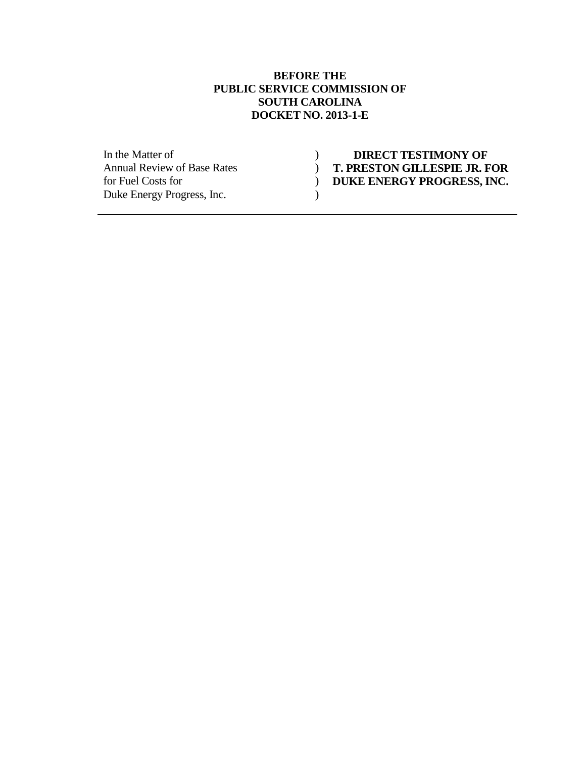### **BEFORE THE PUBLIC SERVICE COMMISSION OF SOUTH CAROLINA DOCKET NO. 2013-1-E**

| In the Matter of                   | <b>DIRECT TESTIMONY OF</b>          |
|------------------------------------|-------------------------------------|
| <b>Annual Review of Base Rates</b> | <b>T. PRESTON GILLESPIE JR. FOR</b> |
| for Fuel Costs for                 | DUKE ENERGY PROGRESS, INC.          |
| Duke Energy Progress, Inc.         |                                     |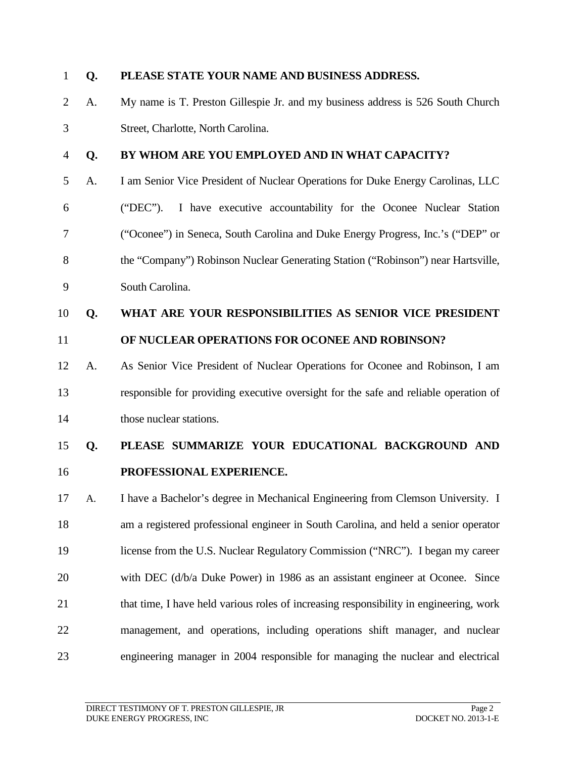| $\mathbf{1}$   | Q. | PLEASE STATE YOUR NAME AND BUSINESS ADDRESS.                                           |
|----------------|----|----------------------------------------------------------------------------------------|
| $\overline{2}$ | A. | My name is T. Preston Gillespie Jr. and my business address is 526 South Church        |
| 3              |    | Street, Charlotte, North Carolina.                                                     |
| $\overline{4}$ | Q. | BY WHOM ARE YOU EMPLOYED AND IN WHAT CAPACITY?                                         |
| 5              | A. | I am Senior Vice President of Nuclear Operations for Duke Energy Carolinas, LLC        |
| 6              |    | $("DEC")$ .<br>I have executive accountability for the Oconee Nuclear Station          |
| $\tau$         |    | ("Oconee") in Seneca, South Carolina and Duke Energy Progress, Inc.'s ("DEP" or        |
| 8              |    | the "Company") Robinson Nuclear Generating Station ("Robinson") near Hartsville,       |
| 9              |    | South Carolina.                                                                        |
| 10             | Q. | WHAT ARE YOUR RESPONSIBILITIES AS SENIOR VICE PRESIDENT                                |
| 11             |    | OF NUCLEAR OPERATIONS FOR OCONEE AND ROBINSON?                                         |
| 12             | A. | As Senior Vice President of Nuclear Operations for Oconee and Robinson, I am           |
| 13             |    | responsible for providing executive oversight for the safe and reliable operation of   |
| 14             |    | those nuclear stations.                                                                |
| 15             | Q. | PLEASE SUMMARIZE YOUR EDUCATIONAL BACKGROUND AND                                       |
| 16             |    | PROFESSIONAL EXPERIENCE.                                                               |
| 17             | A. | I have a Bachelor's degree in Mechanical Engineering from Clemson University. I        |
| 18             |    | am a registered professional engineer in South Carolina, and held a senior operator    |
| 19             |    | license from the U.S. Nuclear Regulatory Commission ("NRC"). I began my career         |
| 20             |    | with DEC (d/b/a Duke Power) in 1986 as an assistant engineer at Oconee. Since          |
| 21             |    | that time, I have held various roles of increasing responsibility in engineering, work |
| 22             |    | management, and operations, including operations shift manager, and nuclear            |
| 23             |    | engineering manager in 2004 responsible for managing the nuclear and electrical        |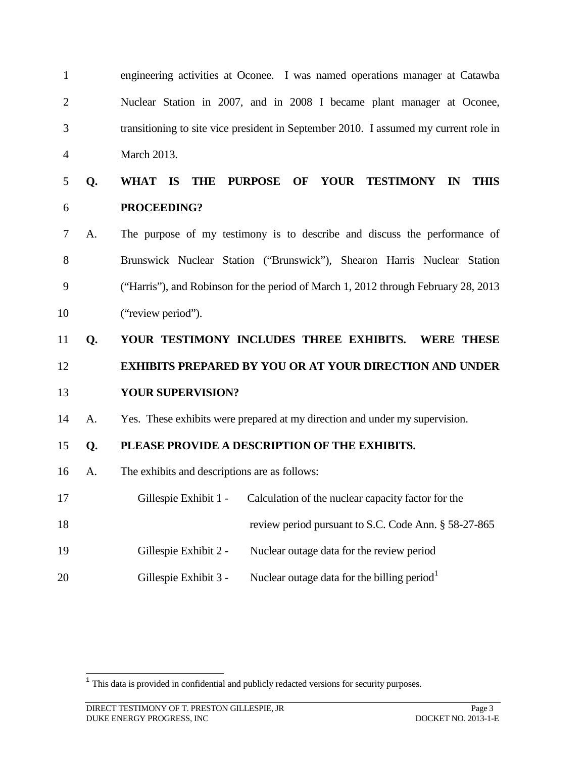| $\mathbf{1}$   |    | engineering activities at Oconee. I was named operations manager at Catawba          |  |
|----------------|----|--------------------------------------------------------------------------------------|--|
| $\overline{2}$ |    | Nuclear Station in 2007, and in 2008 I became plant manager at Oconee,               |  |
| 3              |    | transitioning to site vice president in September 2010. I assumed my current role in |  |
| $\overline{4}$ |    | March 2013.                                                                          |  |
| 5              | Q. | <b>PURPOSE</b><br>OF YOUR TESTIMONY IN<br>WHAT IS<br><b>THE</b><br><b>THIS</b>       |  |
| 6              |    | PROCEEDING?                                                                          |  |
| $\tau$         | A. | The purpose of my testimony is to describe and discuss the performance of            |  |
| 8              |    | Brunswick Nuclear Station ("Brunswick"), Shearon Harris Nuclear Station              |  |
| 9              |    | ("Harris"), and Robinson for the period of March 1, 2012 through February 28, 2013   |  |
| 10             |    | ("review period").                                                                   |  |
|                |    |                                                                                      |  |
| 11             | Q. | YOUR TESTIMONY INCLUDES THREE EXHIBITS.<br><b>WERE THESE</b>                         |  |
| 12             |    | <b>EXHIBITS PREPARED BY YOU OR AT YOUR DIRECTION AND UNDER</b>                       |  |
| 13             |    | <b>YOUR SUPERVISION?</b>                                                             |  |
| 14             | A. | Yes. These exhibits were prepared at my direction and under my supervision.          |  |
| 15             | Q. | PLEASE PROVIDE A DESCRIPTION OF THE EXHIBITS.                                        |  |
| 16             | A. | The exhibits and descriptions are as follows:                                        |  |
| 17             |    | Gillespie Exhibit 1 - Calculation of the nuclear capacity factor for the             |  |
| 18             |    | review period pursuant to S.C. Code Ann. § 58-27-865                                 |  |
| 19             |    | Gillespie Exhibit 2 -<br>Nuclear outage data for the review period                   |  |

<span id="page-2-0"></span><sup>&</sup>lt;sup>1</sup> This data is provided in confidential and publicly redacted versions for security purposes.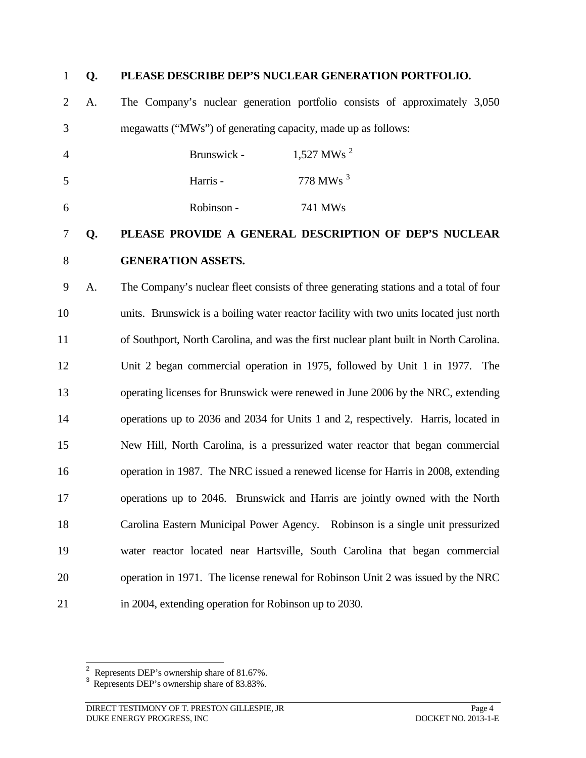#### **Q. PLEASE DESCRIBE DEP'S NUCLEAR GENERATION PORTFOLIO.**

 A. The Company's nuclear generation portfolio consists of approximately 3,050 megawatts ("MWs") of generating capacity, made up as follows:

| 4 | Brunswick - | 1,527 MWs <sup>2</sup> |
|---|-------------|------------------------|
| 5 | Harris -    | 778 MWs $^3$           |
| 6 | Robinson -  | 741 MW <sub>s</sub>    |

### **Q. PLEASE PROVIDE A GENERAL DESCRIPTION OF DEP'S NUCLEAR GENERATION ASSETS.**

 A. The Company's nuclear fleet consists of three generating stations and a total of four units. Brunswick is a boiling water reactor facility with two units located just north of Southport, North Carolina, and was the first nuclear plant built in North Carolina. Unit 2 began commercial operation in 1975, followed by Unit 1 in 1977. The operating licenses for Brunswick were renewed in June 2006 by the NRC, extending operations up to 2036 and 2034 for Units 1 and 2, respectively. Harris, located in New Hill, North Carolina, is a pressurized water reactor that began commercial operation in 1987. The NRC issued a renewed license for Harris in 2008, extending operations up to 2046. Brunswick and Harris are jointly owned with the North Carolina Eastern Municipal Power Agency. Robinson is a single unit pressurized water reactor located near Hartsville, South Carolina that began commercial operation in 1971. The license renewal for Robinson Unit 2 was issued by the NRC in 2004, extending operation for Robinson up to 2030.

<span id="page-3-0"></span><sup>&</sup>lt;sup>2</sup> Represents DEP's ownership share of 81.67%.

<span id="page-3-1"></span>Represents DEP's ownership share of 83.83%.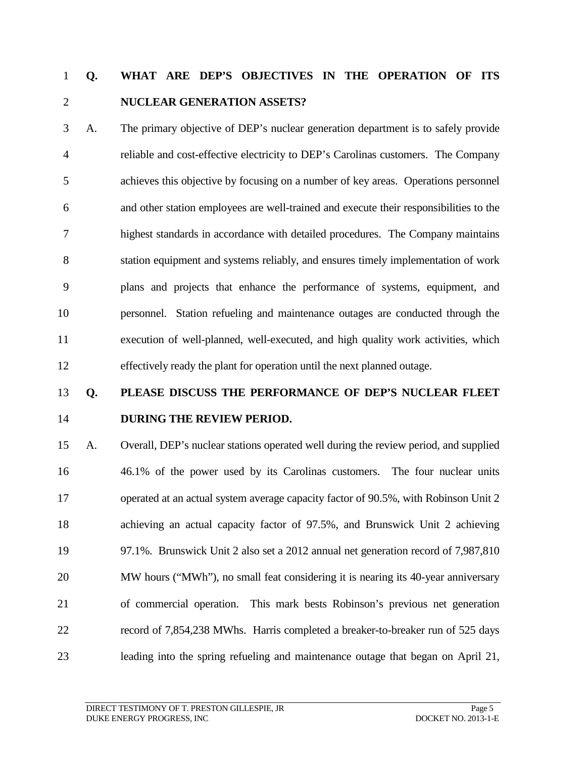## **Q. WHAT ARE DEP'S OBJECTIVES IN THE OPERATION OF ITS NUCLEAR GENERATION ASSETS?**

 A. The primary objective of DEP's nuclear generation department is to safely provide reliable and cost-effective electricity to DEP's Carolinas customers. The Company achieves this objective by focusing on a number of key areas. Operations personnel and other station employees are well-trained and execute their responsibilities to the highest standards in accordance with detailed procedures. The Company maintains station equipment and systems reliably, and ensures timely implementation of work plans and projects that enhance the performance of systems, equipment, and personnel. Station refueling and maintenance outages are conducted through the execution of well-planned, well-executed, and high quality work activities, which effectively ready the plant for operation until the next planned outage.

# **Q. PLEASE DISCUSS THE PERFORMANCE OF DEP'S NUCLEAR FLEET DURING THE REVIEW PERIOD.**

 A. Overall, DEP's nuclear stations operated well during the review period, and supplied 46.1% of the power used by its Carolinas customers. The four nuclear units operated at an actual system average capacity factor of 90.5%, with Robinson Unit 2 achieving an actual capacity factor of 97.5%, and Brunswick Unit 2 achieving 97.1%. Brunswick Unit 2 also set a 2012 annual net generation record of 7,987,810 MW hours ("MWh"), no small feat considering it is nearing its 40-year anniversary of commercial operation. This mark bests Robinson's previous net generation record of 7,854,238 MWhs. Harris completed a breaker-to-breaker run of 525 days leading into the spring refueling and maintenance outage that began on April 21,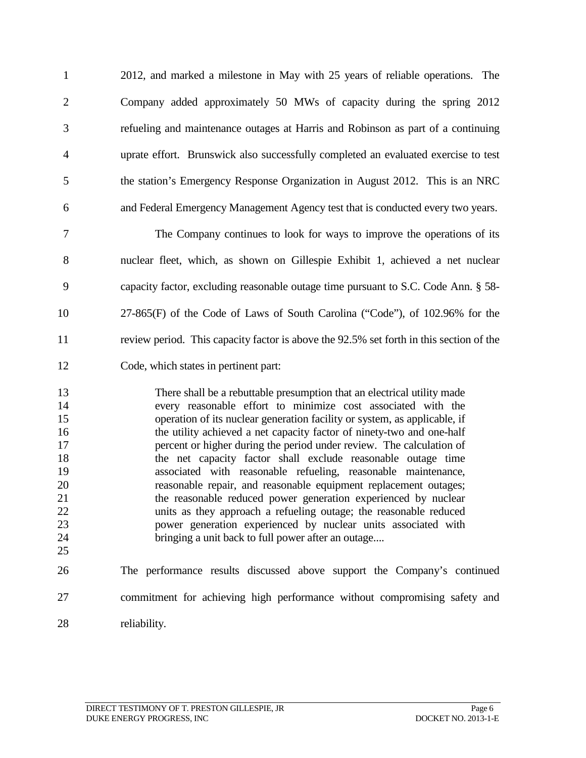2012, and marked a milestone in May with 25 years of reliable operations. The Company added approximately 50 MWs of capacity during the spring 2012 refueling and maintenance outages at Harris and Robinson as part of a continuing uprate effort. Brunswick also successfully completed an evaluated exercise to test the station's Emergency Response Organization in August 2012. This is an NRC and Federal Emergency Management Agency test that is conducted every two years.

 The Company continues to look for ways to improve the operations of its nuclear fleet, which, as shown on Gillespie Exhibit 1, achieved a net nuclear capacity factor, excluding reasonable outage time pursuant to S.C. Code Ann. § 58- 27-865(F) of the Code of Laws of South Carolina ("Code"), of 102.96% for the review period. This capacity factor is above the 92.5% set forth in this section of the Code, which states in pertinent part:

 There shall be a rebuttable presumption that an electrical utility made every reasonable effort to minimize cost associated with the operation of its nuclear generation facility or system, as applicable, if 16 the utility achieved a net capacity factor of ninety-two and one-half **percent or higher during the period under review.** The calculation of the net capacity factor shall exclude reasonable outage time 19 associated with reasonable refueling, reasonable maintenance,<br>20 reasonable repair, and reasonable equipment replacement outages: reasonable repair, and reasonable equipment replacement outages; the reasonable reduced power generation experienced by nuclear units as they approach a refueling outage; the reasonable reduced power generation experienced by nuclear units associated with bringing a unit back to full power after an outage.... 

 The performance results discussed above support the Company's continued commitment for achieving high performance without compromising safety and reliability.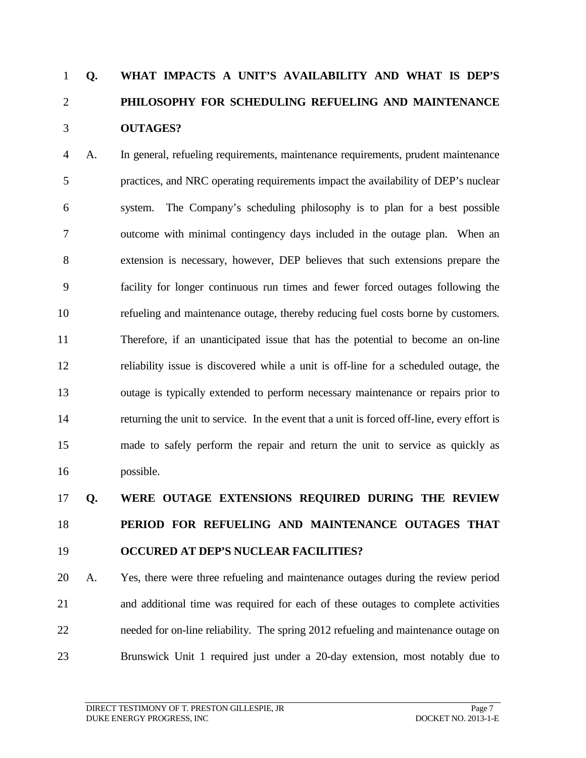## **Q. WHAT IMPACTS A UNIT'S AVAILABILITY AND WHAT IS DEP'S PHILOSOPHY FOR SCHEDULING REFUELING AND MAINTENANCE OUTAGES?**

 A. In general, refueling requirements, maintenance requirements, prudent maintenance practices, and NRC operating requirements impact the availability of DEP's nuclear system. The Company's scheduling philosophy is to plan for a best possible outcome with minimal contingency days included in the outage plan. When an extension is necessary, however, DEP believes that such extensions prepare the facility for longer continuous run times and fewer forced outages following the refueling and maintenance outage, thereby reducing fuel costs borne by customers. Therefore, if an unanticipated issue that has the potential to become an on-line reliability issue is discovered while a unit is off-line for a scheduled outage, the outage is typically extended to perform necessary maintenance or repairs prior to returning the unit to service. In the event that a unit is forced off-line, every effort is made to safely perform the repair and return the unit to service as quickly as possible.

# **Q. WERE OUTAGE EXTENSIONS REQUIRED DURING THE REVIEW PERIOD FOR REFUELING AND MAINTENANCE OUTAGES THAT OCCURED AT DEP'S NUCLEAR FACILITIES?**

 A. Yes, there were three refueling and maintenance outages during the review period and additional time was required for each of these outages to complete activities needed for on-line reliability. The spring 2012 refueling and maintenance outage on Brunswick Unit 1 required just under a 20-day extension, most notably due to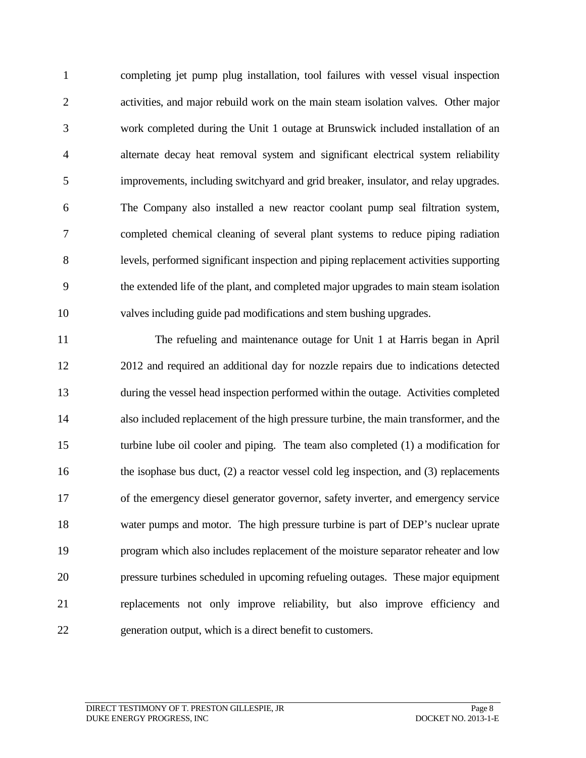completing jet pump plug installation, tool failures with vessel visual inspection activities, and major rebuild work on the main steam isolation valves. Other major work completed during the Unit 1 outage at Brunswick included installation of an alternate decay heat removal system and significant electrical system reliability improvements, including switchyard and grid breaker, insulator, and relay upgrades. The Company also installed a new reactor coolant pump seal filtration system, completed chemical cleaning of several plant systems to reduce piping radiation levels, performed significant inspection and piping replacement activities supporting the extended life of the plant, and completed major upgrades to main steam isolation valves including guide pad modifications and stem bushing upgrades.

 The refueling and maintenance outage for Unit 1 at Harris began in April 2012 and required an additional day for nozzle repairs due to indications detected during the vessel head inspection performed within the outage. Activities completed also included replacement of the high pressure turbine, the main transformer, and the turbine lube oil cooler and piping. The team also completed (1) a modification for 16 the isophase bus duct, (2) a reactor vessel cold leg inspection, and (3) replacements of the emergency diesel generator governor, safety inverter, and emergency service water pumps and motor. The high pressure turbine is part of DEP's nuclear uprate program which also includes replacement of the moisture separator reheater and low pressure turbines scheduled in upcoming refueling outages. These major equipment replacements not only improve reliability, but also improve efficiency and generation output, which is a direct benefit to customers.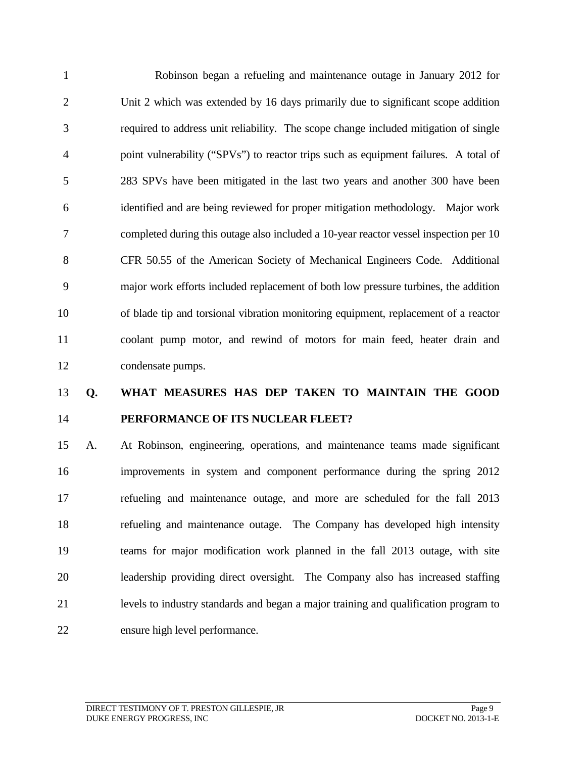Robinson began a refueling and maintenance outage in January 2012 for Unit 2 which was extended by 16 days primarily due to significant scope addition required to address unit reliability. The scope change included mitigation of single point vulnerability ("SPVs") to reactor trips such as equipment failures. A total of 283 SPVs have been mitigated in the last two years and another 300 have been identified and are being reviewed for proper mitigation methodology. Major work completed during this outage also included a 10-year reactor vessel inspection per 10 CFR 50.55 of the American Society of Mechanical Engineers Code. Additional major work efforts included replacement of both low pressure turbines, the addition of blade tip and torsional vibration monitoring equipment, replacement of a reactor coolant pump motor, and rewind of motors for main feed, heater drain and condensate pumps.

## **Q. WHAT MEASURES HAS DEP TAKEN TO MAINTAIN THE GOOD PERFORMANCE OF ITS NUCLEAR FLEET?**

 A. At Robinson, engineering, operations, and maintenance teams made significant improvements in system and component performance during the spring 2012 refueling and maintenance outage, and more are scheduled for the fall 2013 refueling and maintenance outage. The Company has developed high intensity teams for major modification work planned in the fall 2013 outage, with site leadership providing direct oversight. The Company also has increased staffing levels to industry standards and began a major training and qualification program to ensure high level performance.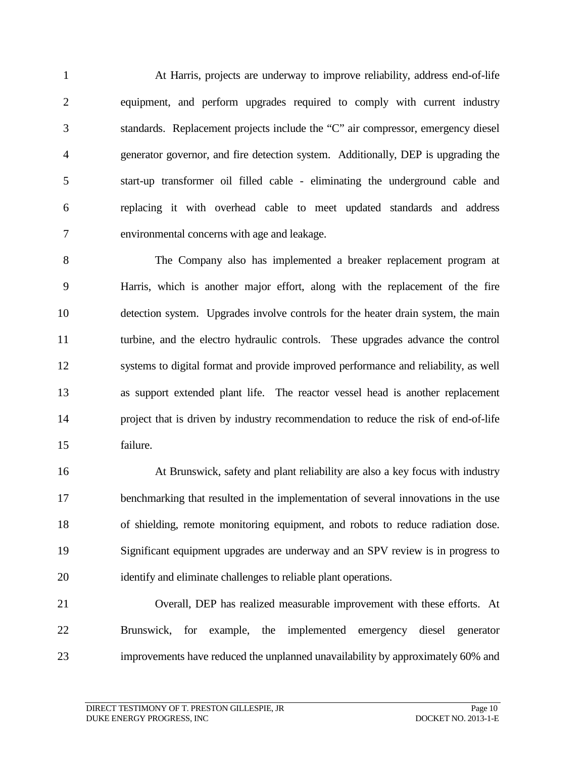At Harris, projects are underway to improve reliability, address end-of-life equipment, and perform upgrades required to comply with current industry standards. Replacement projects include the "C" air compressor, emergency diesel generator governor, and fire detection system. Additionally, DEP is upgrading the start-up transformer oil filled cable - eliminating the underground cable and replacing it with overhead cable to meet updated standards and address environmental concerns with age and leakage.

 The Company also has implemented a breaker replacement program at Harris, which is another major effort, along with the replacement of the fire detection system. Upgrades involve controls for the heater drain system, the main turbine, and the electro hydraulic controls. These upgrades advance the control systems to digital format and provide improved performance and reliability, as well as support extended plant life. The reactor vessel head is another replacement project that is driven by industry recommendation to reduce the risk of end-of-life failure.

 At Brunswick, safety and plant reliability are also a key focus with industry benchmarking that resulted in the implementation of several innovations in the use of shielding, remote monitoring equipment, and robots to reduce radiation dose. Significant equipment upgrades are underway and an SPV review is in progress to identify and eliminate challenges to reliable plant operations.

# Overall, DEP has realized measurable improvement with these efforts. At Brunswick, for example, the implemented emergency diesel generator improvements have reduced the unplanned unavailability by approximately 60% and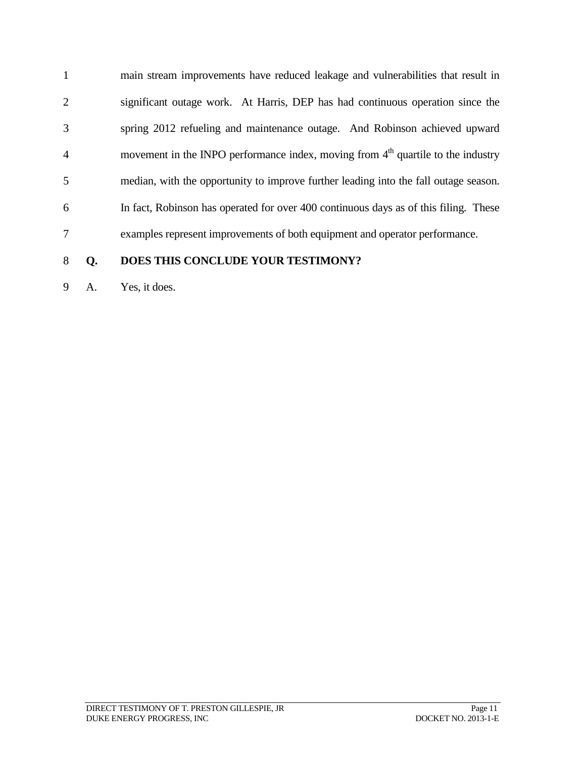main stream improvements have reduced leakage and vulnerabilities that result in significant outage work. At Harris, DEP has had continuous operation since the spring 2012 refueling and maintenance outage. And Robinson achieved upward 4 movement in the INPO performance index, moving from  $4<sup>th</sup>$  quartile to the industry median, with the opportunity to improve further leading into the fall outage season. In fact, Robinson has operated for over 400 continuous days as of this filing. These examples represent improvements of both equipment and operator performance.

### **Q. DOES THIS CONCLUDE YOUR TESTIMONY?**

A. Yes, it does.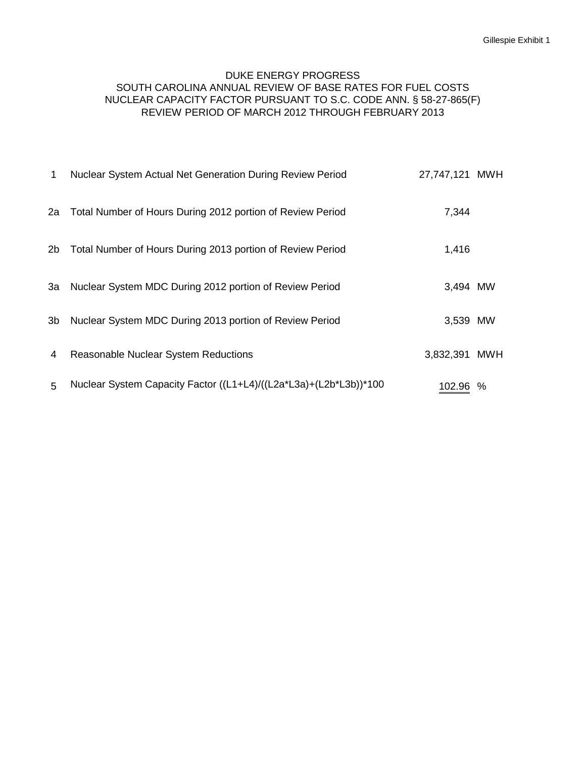### DUKE ENERGY PROGRESS SOUTH CAROLINA ANNUAL REVIEW OF BASE RATES FOR FUEL COSTS NUCLEAR CAPACITY FACTOR PURSUANT TO S.C. CODE ANN. § 58-27-865(F) REVIEW PERIOD OF MARCH 2012 THROUGH FEBRUARY 2013

| 1              | Nuclear System Actual Net Generation During Review Period         | 27,747,121 MWH |            |
|----------------|-------------------------------------------------------------------|----------------|------------|
| 2a             | Total Number of Hours During 2012 portion of Review Period        | 7,344          |            |
| 2 <sub>b</sub> | Total Number of Hours During 2013 portion of Review Period        | 1,416          |            |
| За             | Nuclear System MDC During 2012 portion of Review Period           | 3,494 MW       |            |
| 3b             | Nuclear System MDC During 2013 portion of Review Period           | 3,539 MW       |            |
| 4              | <b>Reasonable Nuclear System Reductions</b>                       | 3,832,391      | <b>MWH</b> |
| 5              | Nuclear System Capacity Factor ((L1+L4)/((L2a*L3a)+(L2b*L3b))*100 | 102.96         | $\%$       |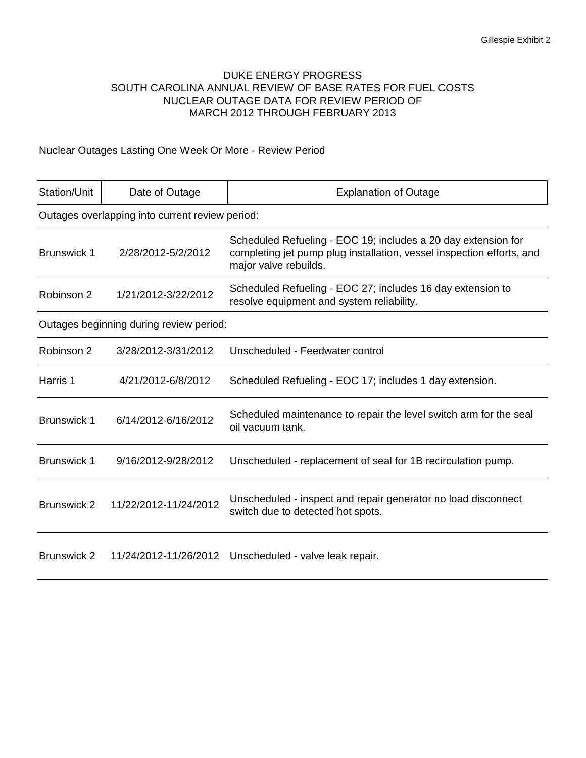### DUKE ENERGY PROGRESS SOUTH CAROLINA ANNUAL REVIEW OF BASE RATES FOR FUEL COSTS NUCLEAR OUTAGE DATA FOR REVIEW PERIOD OF MARCH 2012 THROUGH FEBRUARY 2013

### Nuclear Outages Lasting One Week Or More - Review Period

| Station/Unit                            | Date of Outage                                  | <b>Explanation of Outage</b>                                                                                                                                    |  |
|-----------------------------------------|-------------------------------------------------|-----------------------------------------------------------------------------------------------------------------------------------------------------------------|--|
|                                         | Outages overlapping into current review period: |                                                                                                                                                                 |  |
| <b>Brunswick 1</b>                      | 2/28/2012-5/2/2012                              | Scheduled Refueling - EOC 19; includes a 20 day extension for<br>completing jet pump plug installation, vessel inspection efforts, and<br>major valve rebuilds. |  |
| Robinson 2                              | 1/21/2012-3/22/2012                             | Scheduled Refueling - EOC 27; includes 16 day extension to<br>resolve equipment and system reliability.                                                         |  |
| Outages beginning during review period: |                                                 |                                                                                                                                                                 |  |
| Robinson 2                              | 3/28/2012-3/31/2012                             | Unscheduled - Feedwater control                                                                                                                                 |  |
| Harris 1                                | 4/21/2012-6/8/2012                              | Scheduled Refueling - EOC 17; includes 1 day extension.                                                                                                         |  |
| <b>Brunswick 1</b>                      | 6/14/2012-6/16/2012                             | Scheduled maintenance to repair the level switch arm for the seal<br>oil vacuum tank.                                                                           |  |
| <b>Brunswick 1</b>                      | 9/16/2012-9/28/2012                             | Unscheduled - replacement of seal for 1B recirculation pump.                                                                                                    |  |
| <b>Brunswick 2</b>                      | 11/22/2012-11/24/2012                           | Unscheduled - inspect and repair generator no load disconnect<br>switch due to detected hot spots.                                                              |  |
| <b>Brunswick 2</b>                      | 11/24/2012-11/26/2012                           | Unscheduled - valve leak repair.                                                                                                                                |  |